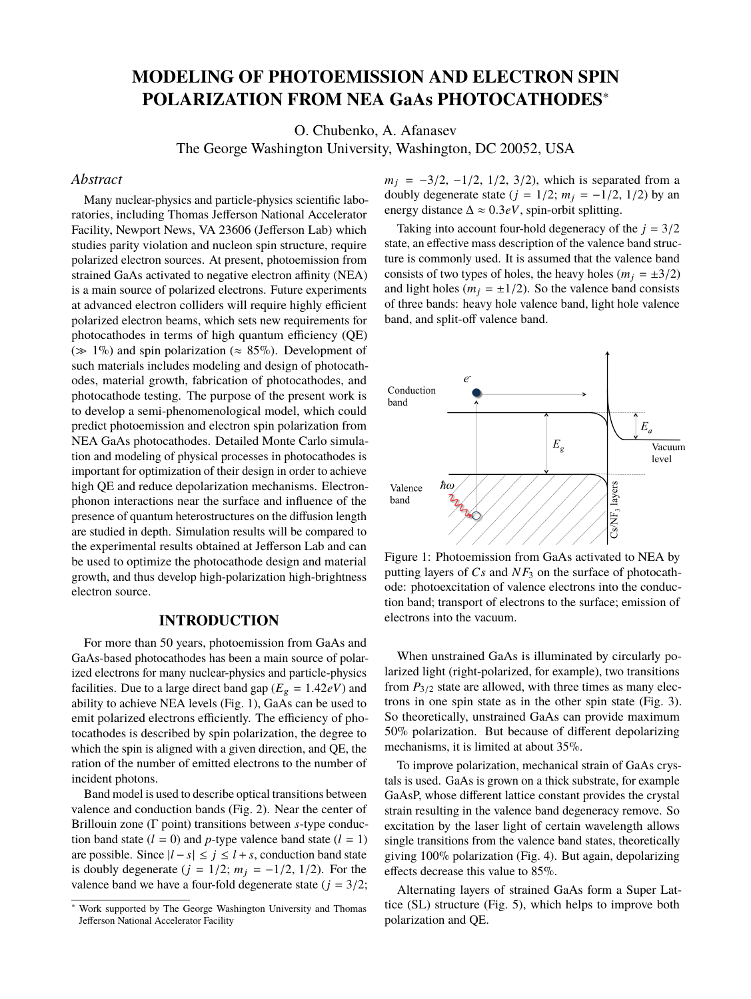# **MODELING OF PHOTOEMISSION AND ELECTRON SPIN POLARIZATION FROM NEA GaAs PHOTOCATHODES**<sup>∗</sup>

O. Chubenko, A. Afanasev

The George Washington University, Washington, DC 20052, USA

### *Abstract*

Many nuclear-physics and particle-physics scientific laboratories, including Thomas Jefferson National Accelerator Facility, Newport News, VA 23606 (Jefferson Lab) which studies parity violation and nucleon spin structure, require polarized electron sources. At present, photoemission from strained GaAs activated to negative electron affinity (NEA) is a main source of polarized electrons. Future experiments at advanced electron colliders will require highly efficient polarized electron beams, which sets new requirements for photocathodes in terms of high quantum efficiency (QE) ( $\gg 1\%$ ) and spin polarization ( $\approx 85\%$ ). Development of such materials includes modeling and design of photocathodes, material growth, fabrication of photocathodes, and photocathode testing. The purpose of the present work is to develop a semi-phenomenological model, which could predict photoemission and electron spin polarization from NEA GaAs photocathodes. Detailed Monte Carlo simulation and modeling of physical processes in photocathodes is important for optimization of their design in order to achieve high QE and reduce depolarization mechanisms. Electronphonon interactions near the surface and influence of the presence of quantum heterostructures on the diffusion length are studied in depth. Simulation results will be compared to the experimental results obtained at Jefferson Lab and can be used to optimize the photocathode design and material growth, and thus develop high-polarization high-brightness electron source.

#### **INTRODUCTION**

For more than 50 years, photoemission from GaAs and GaAs-based photocathodes has been a main source of polarized electrons for many nuclear-physics and particle-physics facilities. Due to a large direct band gap ( $E_g = 1.42eV$ ) and ability to achieve NEA levels (Fig. 1), GaAs can be used to emit polarized electrons efficiently. The efficiency of photocathodes is described by spin polarization, the degree to which the spin is aligned with a given direction, and QE, the ration of the number of emitted electrons to the number of incident photons.

Band model is used to describe optical transitions between valence and conduction bands (Fig. 2). Near the center of Brillouin zone (Γ point) transitions between *s*-type conduction band state  $(l = 0)$  and *p*-type valence band state  $(l = 1)$ are possible. Since  $|l - s|$  ≤  $j$  ≤  $l + s$ , conduction band state is doubly degenerate ( $j = 1/2$ ;  $m<sub>j</sub> = -1/2$ , 1/2). For the valence band we have a four-fold degenerate state  $(j = 3/2)$ ;

 $m_j = -3/2, -1/2, 1/2, 3/2$ , which is separated from a doubly degenerate state ( $j = 1/2$ ;  $m<sub>i</sub> = -1/2$ , 1/2) by an energy distance  $\Delta \approx 0.3eV$ , spin-orbit splitting.

Taking into account four-hold degeneracy of the  $j = 3/2$ state, an effective mass description of the valence band structure is commonly used. It is assumed that the valence band consists of two types of holes, the heavy holes ( $m_j = \pm 3/2$ ) and light holes ( $m_j = \pm 1/2$ ). So the valence band consists of three bands: heavy hole valence band, light hole valence band, and split-off valence band.



Figure 1: Photoemission from GaAs activated to NEA by putting layers of *Cs* and *NF*<sup>3</sup> on the surface of photocathode: photoexcitation of valence electrons into the conduction band; transport of electrons to the surface; emission of electrons into the vacuum.

When unstrained GaAs is illuminated by circularly polarized light (right-polarized, for example), two transitions from  $P_{3/2}$  state are allowed, with three times as many electrons in one spin state as in the other spin state (Fig. 3). So theoretically, unstrained GaAs can provide maximum 50% polarization. But because of different depolarizing mechanisms, it is limited at about 35%.

To improve polarization, mechanical strain of GaAs crystals is used. GaAs is grown on a thick substrate, for example GaAsP, whose different lattice constant provides the crystal strain resulting in the valence band degeneracy remove. So excitation by the laser light of certain wavelength allows single transitions from the valence band states, theoretically giving 100% polarization (Fig. 4). But again, depolarizing effects decrease this value to 85%.

Alternating layers of strained GaAs form a Super Lattice (SL) structure (Fig. 5), which helps to improve both polarization and QE.

Work supported by The George Washington University and Thomas Jefferson National Accelerator Facility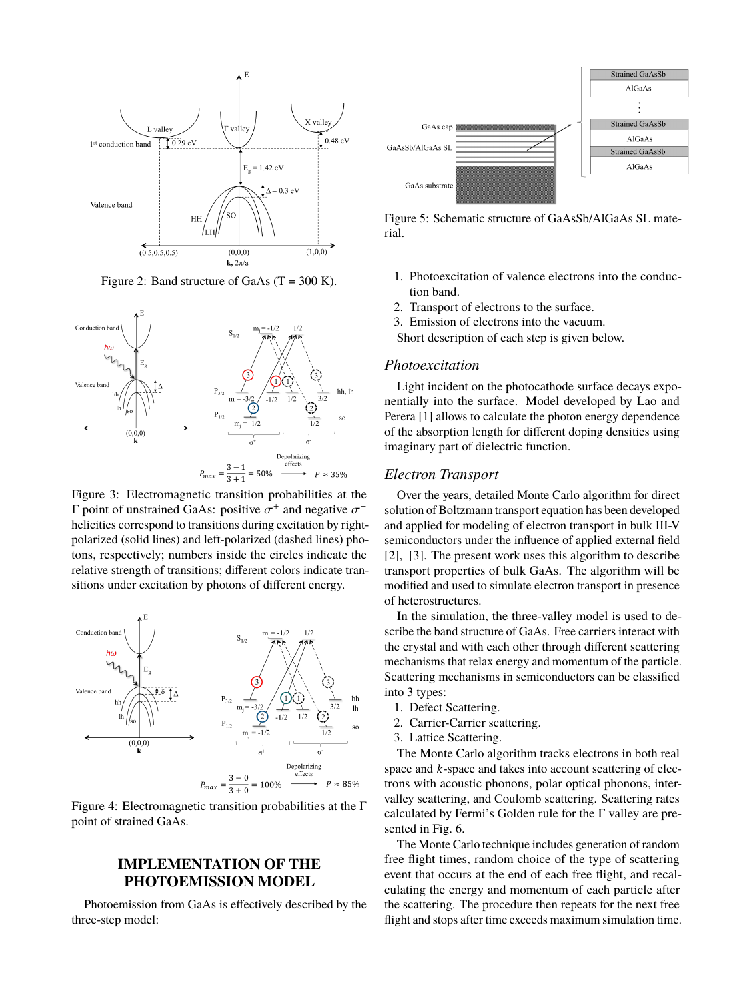

Figure 2: Band structure of GaAs  $(T = 300 \text{ K})$ .



Figure 3: Electromagnetic transition probabilities at the  $Γ$  point of unstrained GaAs: positive  $σ<sup>+</sup>$  and negative  $σ<sup>-</sup>$ <br>helicities correspond to transitions during excitation by right. helicities correspond to transitions during excitation by rightpolarized (solid lines) and left-polarized (dashed lines) photons, respectively; numbers inside the circles indicate the relative strength of transitions; different colors indicate transitions under excitation by photons of different energy.



Figure 4: Electromagnetic transition probabilities at the Γ point of strained GaAs.

# **IMPLEMENTATION OF THE PHOTOEMISSION MODEL**

Photoemission from GaAs is effectively described by the three-step model:



Figure 5: Schematic structure of GaAsSb/AlGaAs SL material.

- 1. Photoexcitation of valence electrons into the conduction band.
- 2. Transport of electrons to the surface.
- 3. Emission of electrons into the vacuum.
- Short description of each step is given below.

#### *Photoexcitation*

Light incident on the photocathode surface decays exponentially into the surface. Model developed by Lao and Perera [1] allows to calculate the photon energy dependence of the absorption length for different doping densities using imaginary part of dielectric function.

#### *Electron Transport*

Over the years, detailed Monte Carlo algorithm for direct solution of Boltzmann transport equation has been developed and applied for modeling of electron transport in bulk III-V semiconductors under the influence of applied external field [2], [3]. The present work uses this algorithm to describe transport properties of bulk GaAs. The algorithm will be modified and used to simulate electron transport in presence of heterostructures.

In the simulation, the three-valley model is used to describe the band structure of GaAs. Free carriers interact with the crystal and with each other through different scattering mechanisms that relax energy and momentum of the particle. Scattering mechanisms in semiconductors can be classified into 3 types:

- 1. Defect Scattering.
- 2. Carrier-Carrier scattering.
- 3. Lattice Scattering.

The Monte Carlo algorithm tracks electrons in both real space and *k*-space and takes into account scattering of electrons with acoustic phonons, polar optical phonons, intervalley scattering, and Coulomb scattering. Scattering rates calculated by Fermi's Golden rule for the Γ valley are presented in Fig. 6.

The Monte Carlo technique includes generation of random free flight times, random choice of the type of scattering event that occurs at the end of each free flight, and recalculating the energy and momentum of each particle after the scattering. The procedure then repeats for the next free flight and stops after time exceeds maximum simulation time.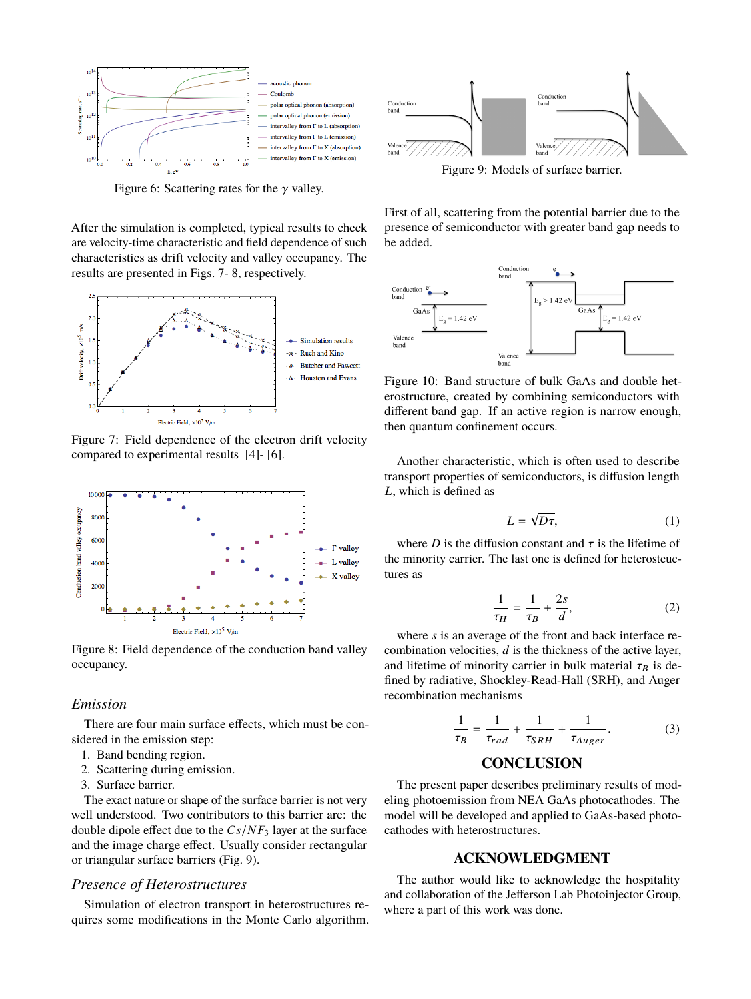

Figure 6: Scattering rates for the  $\gamma$  valley.

After the simulation is completed, typical results to check are velocity-time characteristic and field dependence of such characteristics as drift velocity and valley occupancy. The results are presented in Figs. 7- 8, respectively.



Figure 7: Field dependence of the electron drift velocity compared to experimental results [4]- [6].



Figure 8: Field dependence of the conduction band valley occupancy.

#### *Emission*

There are four main surface effects, which must be considered in the emission step:

- 1. Band bending region.
- 2. Scattering during emission.
- 3. Surface barrier.

The exact nature or shape of the surface barrier is not very well understood. Two contributors to this barrier are: the double dipole effect due to the *Cs*/*NF*<sup>3</sup> layer at the surface and the image charge effect. Usually consider rectangular or triangular surface barriers (Fig. 9).

#### *Presence of Heterostructures*

Simulation of electron transport in heterostructures requires some modifications in the Monte Carlo algorithm.



Figure 9: Models of surface barrier.

First of all, scattering from the potential barrier due to the presence of semiconductor with greater band gap needs to be added.



Figure 10: Band structure of bulk GaAs and double heterostructure, created by combining semiconductors with different band gap. If an active region is narrow enough, then quantum confinement occurs.

Another characteristic, which is often used to describe transport properties of semiconductors, is diffusion length *L*, which is defined as

$$
L = \sqrt{D\tau},\tag{1}
$$

where *D* is the diffusion constant and  $\tau$  is the lifetime of the minority carrier. The last one is defined for heterosteuctures as

$$
\frac{1}{\tau_H} = \frac{1}{\tau_B} + \frac{2s}{d},\tag{2}
$$

τH τB where *s* is an average of the front and back interface recombination velocities, *d* is the thickness of the active layer, and lifetime of minority carrier in bulk material  $\tau_B$  is defined by radiative, Shockley-Read-Hall (SRH), and Auger recombination mechanisms

$$
\frac{1}{\tau_B} = \frac{1}{\tau_{rad}} + \frac{1}{\tau_{SRH}} + \frac{1}{\tau_{Auger}}.
$$
 (3)

# **CONCLUSION**

The present paper describes preliminary results of modeling photoemission from NEA GaAs photocathodes. The model will be developed and applied to GaAs-based photocathodes with heterostructures.

#### **ACKNOWLEDGMENT**

The author would like to acknowledge the hospitality and collaboration of the Jefferson Lab Photoinjector Group, where a part of this work was done.